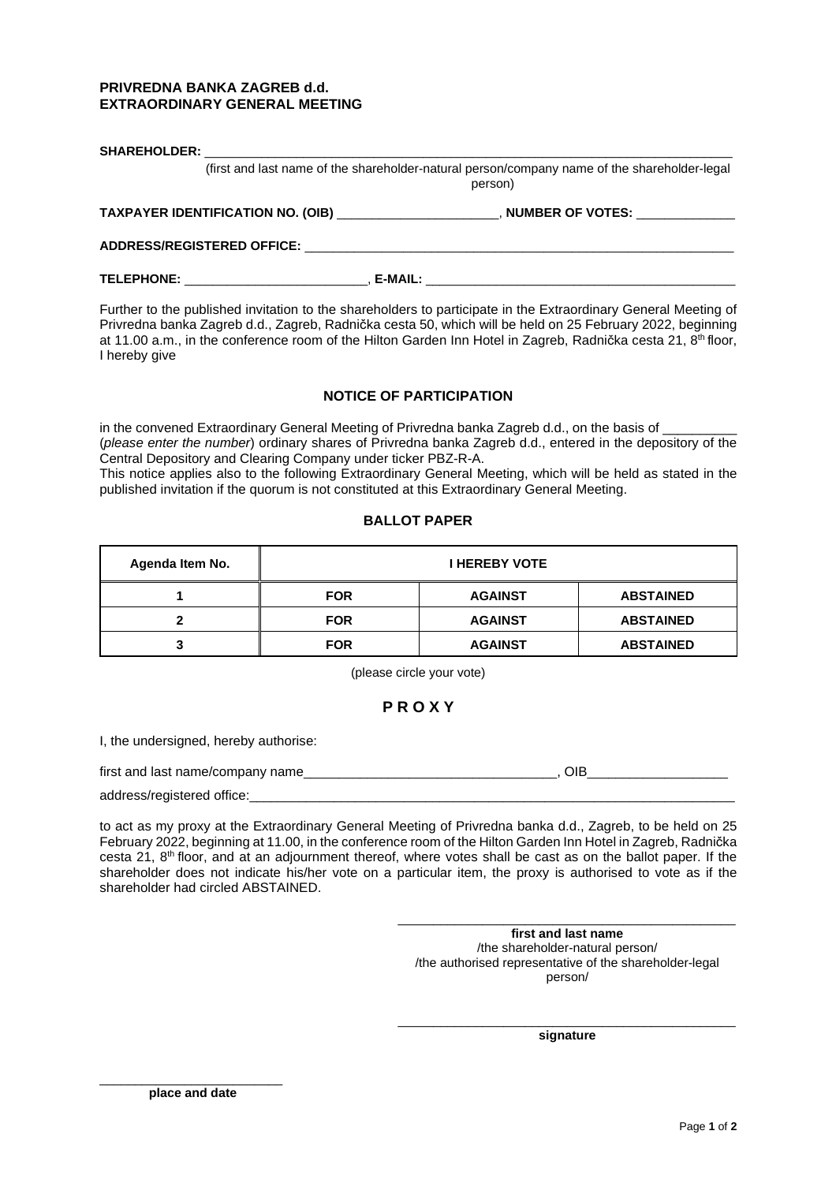### **PRIVREDNA BANKA ZAGREB d.d. EXTRAORDINARY GENERAL MEETING**

| (first and last name of the shareholder-natural person/company name of the shareholder-legal<br>person)                                                                                                                        |  |                                                                                         |  |
|--------------------------------------------------------------------------------------------------------------------------------------------------------------------------------------------------------------------------------|--|-----------------------------------------------------------------------------------------|--|
|                                                                                                                                                                                                                                |  | TAXPAYER IDENTIFICATION NO. (OIB) ______________________, NUMBER OF VOTES: ____________ |  |
| ADDRESS/REGISTERED OFFICE: Network and the contract of the contract of the contract of the contract of the contract of the contract of the contract of the contract of the contract of the contract of the contract of the con |  |                                                                                         |  |
|                                                                                                                                                                                                                                |  |                                                                                         |  |

Further to the published invitation to the shareholders to participate in the Extraordinary General Meeting of Privredna banka Zagreb d.d., Zagreb, Radnička cesta 50, which will be held on 25 February 2022, beginning at 11.00 a.m., in the conference room of the Hilton Garden Inn Hotel in Zagreb, Radnička cesta 21, 8<sup>th</sup> floor, I hereby give

# **NOTICE OF PARTICIPATION**

in the convened Extraordinary General Meeting of Privredna banka Zagreb d.d., on the basis of (please enter the number) ordinary shares of Privredna banka Zagreb d.d., entered in the depository of the Central Depository and Clearing Company under ticker PBZ-R-A.

This notice applies also to the following Extraordinary General Meeting, which will be held as stated in the published invitation if the quorum is not constituted at this Extraordinary General Meeting.

## **BALLOT PAPER**

| Agenda Item No. | <b>I HEREBY VOTE</b> |                |                  |  |
|-----------------|----------------------|----------------|------------------|--|
|                 | <b>FOR</b>           | <b>AGAINST</b> | <b>ABSTAINED</b> |  |
|                 | <b>FOR</b>           | <b>AGAINST</b> | <b>ABSTAINED</b> |  |
|                 | <b>FOR</b>           | <b>AGAINST</b> | <b>ABSTAINED</b> |  |

(please circle your vote)

# **P R O X Y**

I, the undersigned, hereby authorise:

| first and last name/company name |  |
|----------------------------------|--|
|----------------------------------|--|

address/registered office:

to act as my proxy at the Extraordinary General Meeting of Privredna banka d.d., Zagreb, to be held on 25 February 2022, beginning at 11.00, in the conference room of the Hilton Garden Inn Hotel in Zagreb, Radnička cesta 21, 8th floor, and at an adjournment thereof, where votes shall be cast as on the ballot paper. If the shareholder does not indicate his/her vote on a particular item, the proxy is authorised to vote as if the shareholder had circled ABSTAINED.

> **first and last name**  /the shareholder-natural person/ /the authorised representative of the shareholder-legal person/

\_\_\_\_\_\_\_\_\_\_\_\_\_\_\_\_\_\_\_\_\_\_\_\_\_\_\_\_\_\_\_\_\_\_\_\_\_\_\_\_\_\_\_\_\_\_\_\_

\_\_\_\_\_\_\_\_\_\_\_\_\_\_\_\_\_\_\_\_\_\_\_\_\_\_\_\_\_\_\_\_\_\_\_\_\_\_\_\_\_\_\_\_\_\_\_\_ **signature** 

\_\_\_\_\_\_\_\_\_\_\_\_\_\_\_\_\_\_\_\_\_\_\_\_\_\_ **place and date**